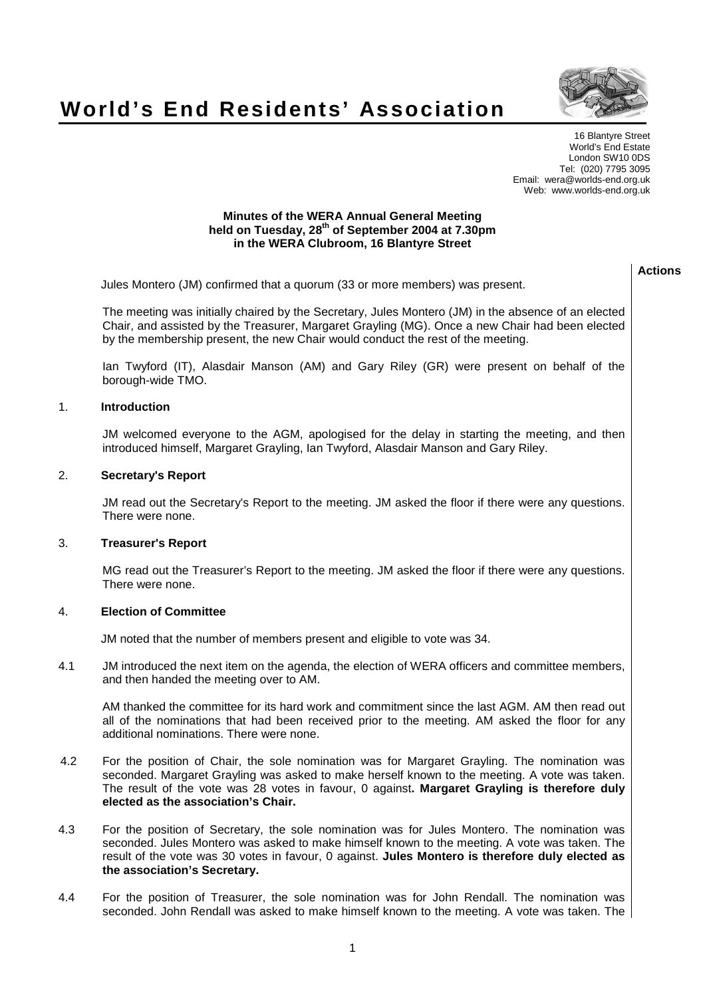## **World's End Residents' Association**



**Actions**

16 Blantyre Street World's End Estate London SW10 0DS Tel: (020) 7795 3095 Email: wera@worlds-end.org.uk Web: www.worlds-end.org.uk

## **Minutes of the WERA Annual General Meeting held on Tuesday, 28th of September 2004 at 7.30pm in the WERA Clubroom, 16 Blantyre Street**

|     | Jules Montero (JM) confirmed that a quorum (33 or more members) was present.                                                                                                                                                                                                                                                          |  |
|-----|---------------------------------------------------------------------------------------------------------------------------------------------------------------------------------------------------------------------------------------------------------------------------------------------------------------------------------------|--|
|     | The meeting was initially chaired by the Secretary, Jules Montero (JM) in the absence of an elected<br>Chair, and assisted by the Treasurer, Margaret Grayling (MG). Once a new Chair had been elected<br>by the membership present, the new Chair would conduct the rest of the meeting.                                             |  |
|     | Ian Twyford (IT), Alasdair Manson (AM) and Gary Riley (GR) were present on behalf of the<br>borough-wide TMO.                                                                                                                                                                                                                         |  |
| 1.  | <b>Introduction</b>                                                                                                                                                                                                                                                                                                                   |  |
|     | JM welcomed everyone to the AGM, apologised for the delay in starting the meeting, and then<br>introduced himself, Margaret Grayling, Ian Twyford, Alasdair Manson and Gary Riley.                                                                                                                                                    |  |
| 2.  | <b>Secretary's Report</b>                                                                                                                                                                                                                                                                                                             |  |
|     | JM read out the Secretary's Report to the meeting. JM asked the floor if there were any questions.<br>There were none.                                                                                                                                                                                                                |  |
| 3.  | <b>Treasurer's Report</b>                                                                                                                                                                                                                                                                                                             |  |
|     | MG read out the Treasurer's Report to the meeting. JM asked the floor if there were any questions.<br>There were none.                                                                                                                                                                                                                |  |
| 4.  | <b>Election of Committee</b>                                                                                                                                                                                                                                                                                                          |  |
|     | JM noted that the number of members present and eligible to vote was 34.                                                                                                                                                                                                                                                              |  |
| 4.1 | JM introduced the next item on the agenda, the election of WERA officers and committee members,<br>and then handed the meeting over to AM.                                                                                                                                                                                            |  |
|     | AM thanked the committee for its hard work and commitment since the last AGM. AM then read out<br>all of the nominations that had been received prior to the meeting. AM asked the floor for any<br>additional nominations. There were none.                                                                                          |  |
| 4.2 | For the position of Chair, the sole nomination was for Margaret Grayling. The nomination was<br>seconded. Margaret Grayling was asked to make herself known to the meeting. A vote was taken.<br>The result of the vote was 28 votes in favour, 0 against. Margaret Grayling is therefore duly<br>elected as the association's Chair. |  |

- 4.3 For the position of Secretary, the sole nomination was for Jules Montero. The nomination was seconded. Jules Montero was asked to make himself known to the meeting. A vote was taken. The result of the vote was 30 votes in favour, 0 against. **Jules Montero is therefore duly elected as the association's Secretary.**
- 4.4 For the position of Treasurer, the sole nomination was for John Rendall. The nomination was seconded. John Rendall was asked to make himself known to the meeting. A vote was taken. The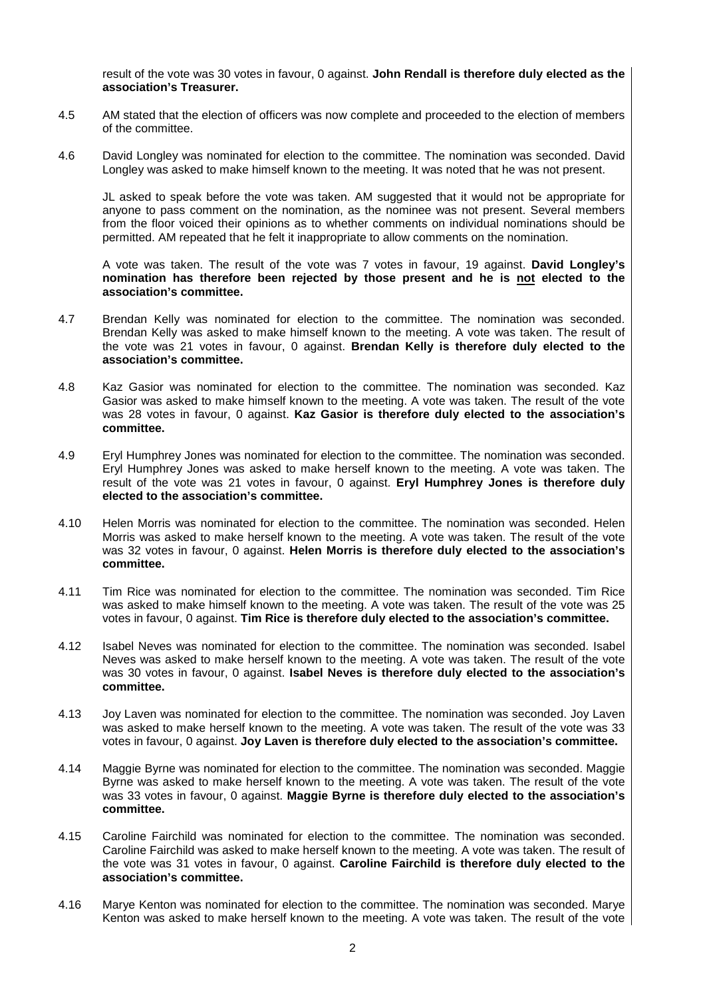result of the vote was 30 votes in favour, 0 against. **John Rendall is therefore duly elected as the association's Treasurer.**

- 4.5 AM stated that the election of officers was now complete and proceeded to the election of members of the committee.
- 4.6 David Longley was nominated for election to the committee. The nomination was seconded. David Longley was asked to make himself known to the meeting. It was noted that he was not present.

JL asked to speak before the vote was taken. AM suggested that it would not be appropriate for anyone to pass comment on the nomination, as the nominee was not present. Several members from the floor voiced their opinions as to whether comments on individual nominations should be permitted. AM repeated that he felt it inappropriate to allow comments on the nomination.

A vote was taken. The result of the vote was 7 votes in favour, 19 against. **David Longley's nomination has therefore been rejected by those present and he is not elected to the association's committee.**

- 4.7 Brendan Kelly was nominated for election to the committee. The nomination was seconded. Brendan Kelly was asked to make himself known to the meeting. A vote was taken. The result of the vote was 21 votes in favour, 0 against. **Brendan Kelly is therefore duly elected to the association's committee.**
- 4.8 Kaz Gasior was nominated for election to the committee. The nomination was seconded. Kaz Gasior was asked to make himself known to the meeting. A vote was taken. The result of the vote was 28 votes in favour, 0 against. **Kaz Gasior is therefore duly elected to the association's committee.**
- 4.9 Eryl Humphrey Jones was nominated for election to the committee. The nomination was seconded. Eryl Humphrey Jones was asked to make herself known to the meeting. A vote was taken. The result of the vote was 21 votes in favour, 0 against. **Eryl Humphrey Jones is therefore duly elected to the association's committee.**
- 4.10 Helen Morris was nominated for election to the committee. The nomination was seconded. Helen Morris was asked to make herself known to the meeting. A vote was taken. The result of the vote was 32 votes in favour, 0 against. **Helen Morris is therefore duly elected to the association's committee.**
- 4.11 Tim Rice was nominated for election to the committee. The nomination was seconded. Tim Rice was asked to make himself known to the meeting. A vote was taken. The result of the vote was 25 votes in favour, 0 against. **Tim Rice is therefore duly elected to the association's committee.**
- 4.12 Isabel Neves was nominated for election to the committee. The nomination was seconded. Isabel Neves was asked to make herself known to the meeting. A vote was taken. The result of the vote was 30 votes in favour, 0 against. **Isabel Neves is therefore duly elected to the association's committee.**
- 4.13 Joy Laven was nominated for election to the committee. The nomination was seconded. Joy Laven was asked to make herself known to the meeting. A vote was taken. The result of the vote was 33 votes in favour, 0 against. **Joy Laven is therefore duly elected to the association's committee.**
- 4.14 Maggie Byrne was nominated for election to the committee. The nomination was seconded. Maggie Byrne was asked to make herself known to the meeting. A vote was taken. The result of the vote was 33 votes in favour, 0 against. **Maggie Byrne is therefore duly elected to the association's committee.**
- 4.15 Caroline Fairchild was nominated for election to the committee. The nomination was seconded. Caroline Fairchild was asked to make herself known to the meeting. A vote was taken. The result of the vote was 31 votes in favour, 0 against. **Caroline Fairchild is therefore duly elected to the association's committee.**
- 4.16 Marye Kenton was nominated for election to the committee. The nomination was seconded. Marye Kenton was asked to make herself known to the meeting. A vote was taken. The result of the vote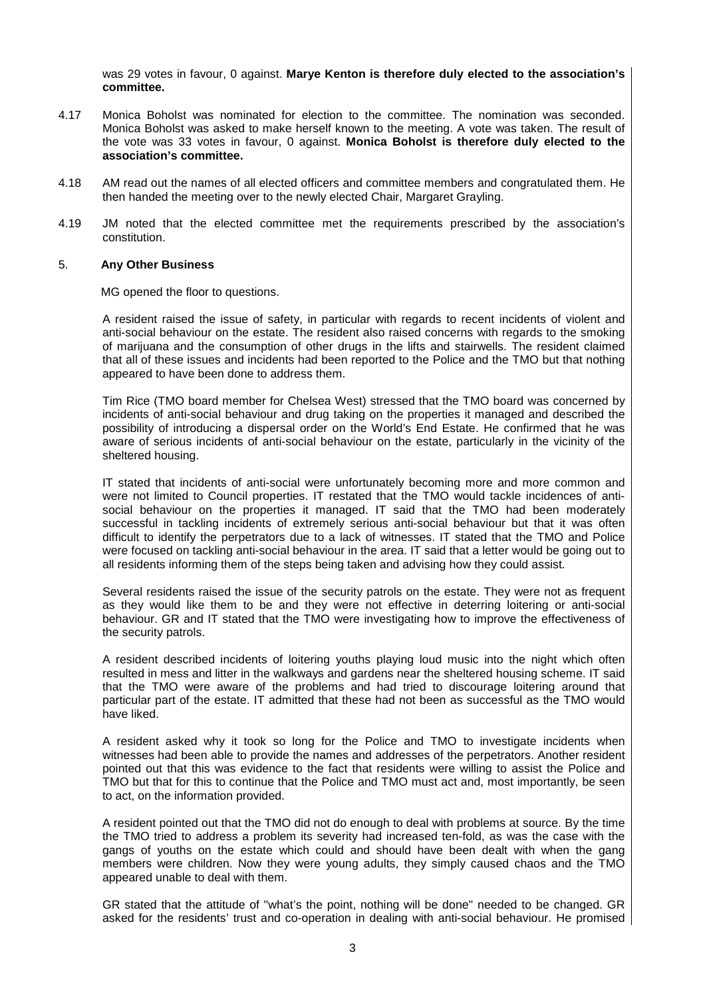was 29 votes in favour, 0 against. **Marye Kenton is therefore duly elected to the association's committee.**

- 4.17 Monica Boholst was nominated for election to the committee. The nomination was seconded. Monica Boholst was asked to make herself known to the meeting. A vote was taken. The result of the vote was 33 votes in favour, 0 against. **Monica Boholst is therefore duly elected to the association's committee.**
- 4.18 AM read out the names of all elected officers and committee members and congratulated them. He then handed the meeting over to the newly elected Chair, Margaret Grayling.
- 4.19 JM noted that the elected committee met the requirements prescribed by the association's constitution.

## 5. **Any Other Business**

MG opened the floor to questions.

A resident raised the issue of safety, in particular with regards to recent incidents of violent and anti-social behaviour on the estate. The resident also raised concerns with regards to the smoking of marijuana and the consumption of other drugs in the lifts and stairwells. The resident claimed that all of these issues and incidents had been reported to the Police and the TMO but that nothing appeared to have been done to address them.

Tim Rice (TMO board member for Chelsea West) stressed that the TMO board was concerned by incidents of anti-social behaviour and drug taking on the properties it managed and described the possibility of introducing a dispersal order on the World's End Estate. He confirmed that he was aware of serious incidents of anti-social behaviour on the estate, particularly in the vicinity of the sheltered housing.

IT stated that incidents of anti-social were unfortunately becoming more and more common and were not limited to Council properties. IT restated that the TMO would tackle incidences of antisocial behaviour on the properties it managed. IT said that the TMO had been moderately successful in tackling incidents of extremely serious anti-social behaviour but that it was often difficult to identify the perpetrators due to a lack of witnesses. IT stated that the TMO and Police were focused on tackling anti-social behaviour in the area. IT said that a letter would be going out to all residents informing them of the steps being taken and advising how they could assist.

Several residents raised the issue of the security patrols on the estate. They were not as frequent as they would like them to be and they were not effective in deterring loitering or anti-social behaviour. GR and IT stated that the TMO were investigating how to improve the effectiveness of the security patrols.

A resident described incidents of loitering youths playing loud music into the night which often resulted in mess and litter in the walkways and gardens near the sheltered housing scheme. IT said that the TMO were aware of the problems and had tried to discourage loitering around that particular part of the estate. IT admitted that these had not been as successful as the TMO would have liked.

A resident asked why it took so long for the Police and TMO to investigate incidents when witnesses had been able to provide the names and addresses of the perpetrators. Another resident pointed out that this was evidence to the fact that residents were willing to assist the Police and TMO but that for this to continue that the Police and TMO must act and, most importantly, be seen to act, on the information provided.

A resident pointed out that the TMO did not do enough to deal with problems at source. By the time the TMO tried to address a problem its severity had increased ten-fold, as was the case with the gangs of youths on the estate which could and should have been dealt with when the gang members were children. Now they were young adults, they simply caused chaos and the TMO appeared unable to deal with them.

GR stated that the attitude of "what's the point, nothing will be done" needed to be changed. GR asked for the residents' trust and co-operation in dealing with anti-social behaviour. He promised